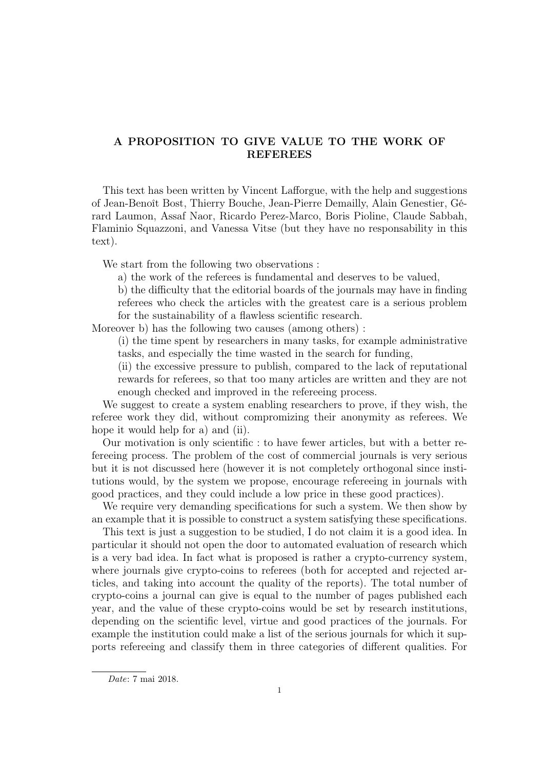# A PROPOSITION TO GIVE VALUE TO THE WORK OF REFEREES

This text has been written by Vincent Lafforgue, with the help and suggestions of Jean-Benoît Bost, Thierry Bouche, Jean-Pierre Demailly, Alain Genestier, Gérard Laumon, Assaf Naor, Ricardo Perez-Marco, Boris Pioline, Claude Sabbah, Flaminio Squazzoni, and Vanessa Vitse (but they have no responsability in this text).

We start from the following two observations :

a) the work of the referees is fundamental and deserves to be valued,

b) the difficulty that the editorial boards of the journals may have in finding referees who check the articles with the greatest care is a serious problem for the sustainability of a flawless scientific research.

Moreover b) has the following two causes (among others) :

(i) the time spent by researchers in many tasks, for example administrative tasks, and especially the time wasted in the search for funding,

(ii) the excessive pressure to publish, compared to the lack of reputational rewards for referees, so that too many articles are written and they are not enough checked and improved in the refereeing process.

We suggest to create a system enabling researchers to prove, if they wish, the referee work they did, without compromizing their anonymity as referees. We hope it would help for a) and (ii).

Our motivation is only scientific : to have fewer articles, but with a better refereeing process. The problem of the cost of commercial journals is very serious but it is not discussed here (however it is not completely orthogonal since institutions would, by the system we propose, encourage refereeing in journals with good practices, and they could include a low price in these good practices).

We require very demanding specifications for such a system. We then show by an example that it is possible to construct a system satisfying these specifications.

This text is just a suggestion to be studied, I do not claim it is a good idea. In particular it should not open the door to automated evaluation of research which is a very bad idea. In fact what is proposed is rather a crypto-currency system, where journals give crypto-coins to referees (both for accepted and rejected articles, and taking into account the quality of the reports). The total number of crypto-coins a journal can give is equal to the number of pages published each year, and the value of these crypto-coins would be set by research institutions, depending on the scientific level, virtue and good practices of the journals. For example the institution could make a list of the serious journals for which it supports refereeing and classify them in three categories of different qualities. For

Date: 7 mai 2018.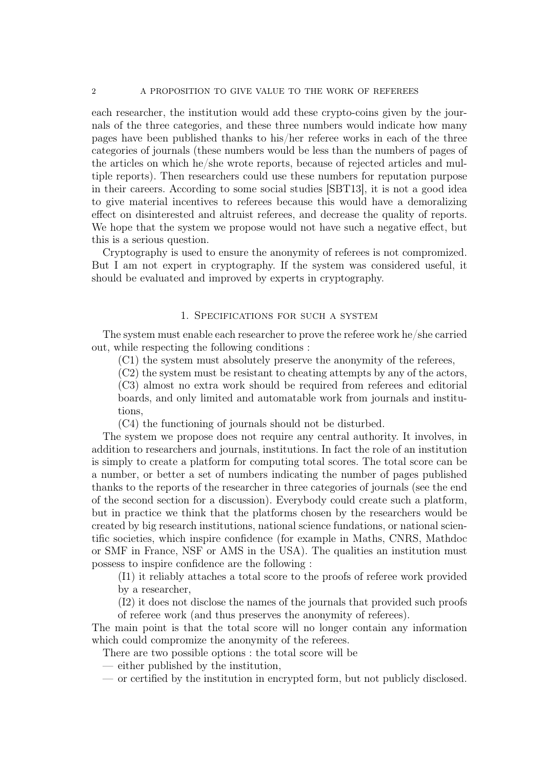each researcher, the institution would add these crypto-coins given by the journals of the three categories, and these three numbers would indicate how many pages have been published thanks to his/her referee works in each of the three categories of journals (these numbers would be less than the numbers of pages of the articles on which he/she wrote reports, because of rejected articles and multiple reports). Then researchers could use these numbers for reputation purpose in their careers. According to some social studies [SBT13], it is not a good idea to give material incentives to referees because this would have a demoralizing effect on disinterested and altruist referees, and decrease the quality of reports. We hope that the system we propose would not have such a negative effect, but this is a serious question.

Cryptography is used to ensure the anonymity of referees is not compromized. But I am not expert in cryptography. If the system was considered useful, it should be evaluated and improved by experts in cryptography.

## 1. Specifications for such a system

The system must enable each researcher to prove the referee work he/she carried out, while respecting the following conditions :

(C1) the system must absolutely preserve the anonymity of the referees,

(C2) the system must be resistant to cheating attempts by any of the actors,

(C3) almost no extra work should be required from referees and editorial boards, and only limited and automatable work from journals and institutions,

(C4) the functioning of journals should not be disturbed.

The system we propose does not require any central authority. It involves, in addition to researchers and journals, institutions. In fact the role of an institution is simply to create a platform for computing total scores. The total score can be a number, or better a set of numbers indicating the number of pages published thanks to the reports of the researcher in three categories of journals (see the end of the second section for a discussion). Everybody could create such a platform, but in practice we think that the platforms chosen by the researchers would be created by big research institutions, national science fundations, or national scientific societies, which inspire confidence (for example in Maths, CNRS, Mathdoc or SMF in France, NSF or AMS in the USA). The qualities an institution must possess to inspire confidence are the following :

(I1) it reliably attaches a total score to the proofs of referee work provided by a researcher,

(I2) it does not disclose the names of the journals that provided such proofs of referee work (and thus preserves the anonymity of referees).

The main point is that the total score will no longer contain any information which could compromize the anonymity of the referees.

There are two possible options : the total score will be

- either published by the institution,
- or certified by the institution in encrypted form, but not publicly disclosed.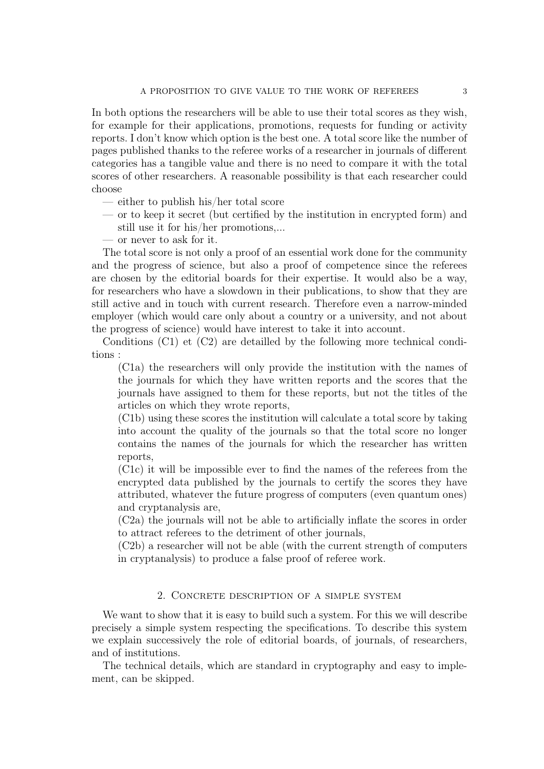In both options the researchers will be able to use their total scores as they wish, for example for their applications, promotions, requests for funding or activity reports. I don't know which option is the best one. A total score like the number of pages published thanks to the referee works of a researcher in journals of different categories has a tangible value and there is no need to compare it with the total scores of other researchers. A reasonable possibility is that each researcher could choose

- either to publish his/her total score
- or to keep it secret (but certified by the institution in encrypted form) and still use it for his/her promotions,...

— or never to ask for it.

The total score is not only a proof of an essential work done for the community and the progress of science, but also a proof of competence since the referees are chosen by the editorial boards for their expertise. It would also be a way, for researchers who have a slowdown in their publications, to show that they are still active and in touch with current research. Therefore even a narrow-minded employer (which would care only about a country or a university, and not about the progress of science) would have interest to take it into account.

Conditions (C1) et (C2) are detailled by the following more technical conditions :

(C1a) the researchers will only provide the institution with the names of the journals for which they have written reports and the scores that the journals have assigned to them for these reports, but not the titles of the articles on which they wrote reports,

(C1b) using these scores the institution will calculate a total score by taking into account the quality of the journals so that the total score no longer contains the names of the journals for which the researcher has written reports,

(C1c) it will be impossible ever to find the names of the referees from the encrypted data published by the journals to certify the scores they have attributed, whatever the future progress of computers (even quantum ones) and cryptanalysis are,

(C2a) the journals will not be able to artificially inflate the scores in order to attract referees to the detriment of other journals,

(C2b) a researcher will not be able (with the current strength of computers in cryptanalysis) to produce a false proof of referee work.

## 2. Concrete description of a simple system

We want to show that it is easy to build such a system. For this we will describe precisely a simple system respecting the specifications. To describe this system we explain successively the role of editorial boards, of journals, of researchers, and of institutions.

The technical details, which are standard in cryptography and easy to implement, can be skipped.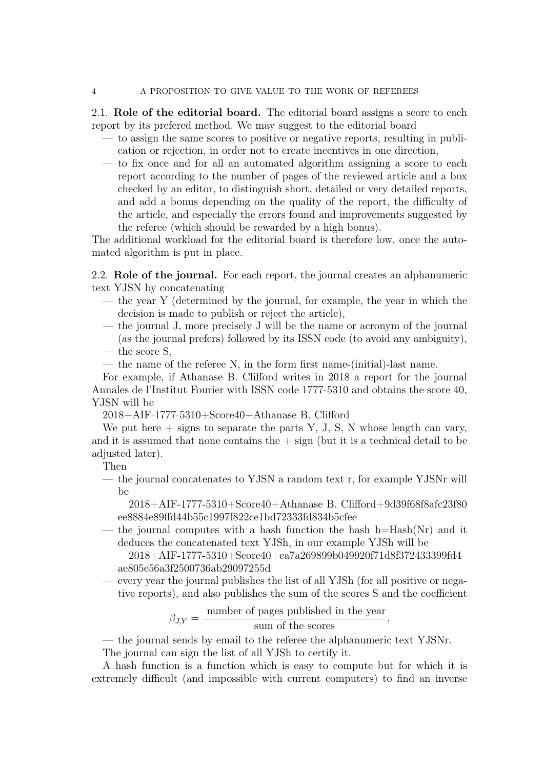2.1. Role of the editorial board. The editorial board assigns a score to each report by its prefered method. We may suggest to the editorial board

- to assign the same scores to positive or negative reports, resulting in publication or rejection, in order not to create incentives in one direction,
- to fix once and for all an automated algorithm assigning a score to each report according to the number of pages of the reviewed article and a box checked by an editor, to distinguish short, detailed or very detailed reports, and add a bonus depending on the quality of the report, the difficulty of the article, and especially the errors found and improvements suggested by the referee (which should be rewarded by a high bonus).

The additional workload for the editorial board is therefore low, once the automated algorithm is put in place.

2.2. Role of the journal. For each report, the journal creates an alphanumeric text YJSN by concatenating

- the year Y (determined by the journal, for example, the year in which the decision is made to publish or reject the article),
- the journal J, more precisely J will be the name or acronym of the journal (as the journal prefers) followed by its ISSN code (to avoid any ambiguity),
- the score S,
- the name of the referee N, in the form first name-(initial)-last name.

For example, if Athanase B. Clifford writes in 2018 a report for the journal Annales de l'Institut Fourier with ISSN code 1777-5310 and obtains the score 40, YJSN will be

2018+AIF-1777-5310+Score40+Athanase B. Clifford

We put here  $+$  signs to separate the parts Y, J, S, N whose length can vary, and it is assumed that none contains the  $+$  sign (but it is a technical detail to be adjusted later).

Then

— the journal concatenates to YJSN a random text r, for example YJSNr will be

2018+AIF-1777-5310+Score40+Athanase B. Clifford+9d39f68f8afc23f80 ee8884e89ffd44b55c1997f822ce1bd72333fd834b5cfee

— the journal computes with a hash function the hash  $h=Hash(Nr)$  and it deduces the concatenated text YJSh, in our example YJSh will be

2018+AIF-1777-5310+Score40+ea7a269899b049920f71d8f372433399fd4 ae805e56a3f2500736ab29097255d

— every year the journal publishes the list of all YJSh (for all positive or negative reports), and also publishes the sum of the scores S and the coefficient

$$
\beta_{J,Y} = \frac{\text{number of pages published in the year}}{\text{sum of the scores}},
$$

sum of the scores

— the journal sends by email to the referee the alphanumeric text YJSNr.

The journal can sign the list of all YJSh to certify it.

A hash function is a function which is easy to compute but for which it is extremely difficult (and impossible with current computers) to find an inverse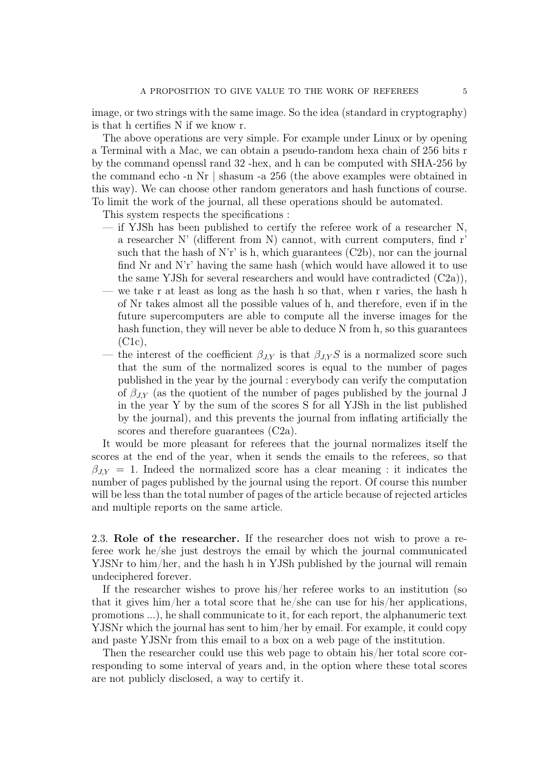image, or two strings with the same image. So the idea (standard in cryptography) is that h certifies N if we know r.

The above operations are very simple. For example under Linux or by opening a Terminal with a Mac, we can obtain a pseudo-random hexa chain of 256 bits r by the command openssl rand 32 -hex, and h can be computed with SHA-256 by the command echo -n Nr | shasum -a 256 (the above examples were obtained in this way). We can choose other random generators and hash functions of course. To limit the work of the journal, all these operations should be automated.

This system respects the specifications :

- $-$  if YJSh has been published to certify the referee work of a researcher N, a researcher N' (different from N) cannot, with current computers, find r' such that the hash of N'r' is h, which guarantees  $(C2b)$ , nor can the journal find Nr and N'r' having the same hash (which would have allowed it to use the same YJSh for several researchers and would have contradicted  $(C2a)$ ,
- we take r at least as long as the hash h so that, when r varies, the hash h of Nr takes almost all the possible values of h, and therefore, even if in the future supercomputers are able to compute all the inverse images for the hash function, they will never be able to deduce N from h, so this guarantees (C1c),
- the interest of the coefficient  $\beta_{JY}$  is that  $\beta_{JY} S$  is a normalized score such that the sum of the normalized scores is equal to the number of pages published in the year by the journal : everybody can verify the computation of  $\beta_{J,Y}$  (as the quotient of the number of pages published by the journal J in the year Y by the sum of the scores S for all YJSh in the list published by the journal), and this prevents the journal from inflating artificially the scores and therefore guarantees  $(C2a)$ .

It would be more pleasant for referees that the journal normalizes itself the scores at the end of the year, when it sends the emails to the referees, so that  $\beta_{J,Y} = 1$ . Indeed the normalized score has a clear meaning : it indicates the number of pages published by the journal using the report. Of course this number will be less than the total number of pages of the article because of rejected articles and multiple reports on the same article.

2.3. Role of the researcher. If the researcher does not wish to prove a referee work he/she just destroys the email by which the journal communicated YJSNr to him/her, and the hash h in YJSh published by the journal will remain undeciphered forever.

If the researcher wishes to prove his/her referee works to an institution (so that it gives him/her a total score that he/she can use for his/her applications, promotions ...), he shall communicate to it, for each report, the alphanumeric text YJSNr which the journal has sent to him/her by email. For example, it could copy and paste YJSNr from this email to a box on a web page of the institution.

Then the researcher could use this web page to obtain his/her total score corresponding to some interval of years and, in the option where these total scores are not publicly disclosed, a way to certify it.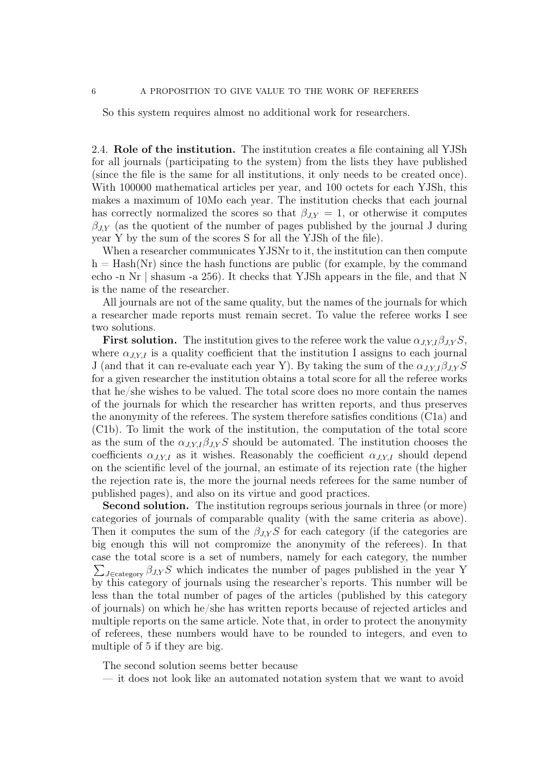So this system requires almost no additional work for researchers.

2.4. Role of the institution. The institution creates a file containing all YJSh for all journals (participating to the system) from the lists they have published (since the file is the same for all institutions, it only needs to be created once). With 100000 mathematical articles per year, and 100 octets for each YJSh, this makes a maximum of 10Mo each year. The institution checks that each journal has correctly normalized the scores so that  $\beta_{J,Y} = 1$ , or otherwise it computes  $\beta_{J,Y}$  (as the quotient of the number of pages published by the journal J during year Y by the sum of the scores S for all the YJSh of the file).

When a researcher communicates YJSNr to it, the institution can then compute  $h =$  Hash(Nr) since the hash functions are public (for example, by the command echo -n Nr | shasum -a 256). It checks that YJSh appears in the file, and that N is the name of the researcher.

All journals are not of the same quality, but the names of the journals for which a researcher made reports must remain secret. To value the referee works I see two solutions.

**First solution.** The institution gives to the referee work the value  $\alpha_{J,Y,I}\beta_{J,Y}S$ , where  $\alpha_{J,Y,I}$  is a quality coefficient that the institution I assigns to each journal J (and that it can re-evaluate each year Y). By taking the sum of the  $\alpha_{J,Y,I}\beta_{J,Y}S$ for a given researcher the institution obtains a total score for all the referee works that he/she wishes to be valued. The total score does no more contain the names of the journals for which the researcher has written reports, and thus preserves the anonymity of the referees. The system therefore satisfies conditions (C1a) and (C1b). To limit the work of the institution, the computation of the total score as the sum of the  $\alpha_{J,Y,I}\beta_{J,Y}S$  should be automated. The institution chooses the coefficients  $\alpha_{J, Y, I}$  as it wishes. Reasonably the coefficient  $\alpha_{J, Y, I}$  should depend on the scientific level of the journal, an estimate of its rejection rate (the higher the rejection rate is, the more the journal needs referees for the same number of published pages), and also on its virtue and good practices.

Second solution. The institution regroups serious journals in three (or more) categories of journals of comparable quality (with the same criteria as above). Then it computes the sum of the  $\beta_{J,Y} S$  for each category (if the categories are big enough this will not compromize the anonymity of the referees). In that case the total score is a set of numbers, namely for each category, the number  $\sum_{J \in \text{category}} \beta_{J,Y} S$  which indicates the number of pages published in the year Y by this category of journals using the researcher's reports. This number will be less than the total number of pages of the articles (published by this category of journals) on which he/she has written reports because of rejected articles and multiple reports on the same article. Note that, in order to protect the anonymity of referees, these numbers would have to be rounded to integers, and even to multiple of 5 if they are big.

The second solution seems better because

— it does not look like an automated notation system that we want to avoid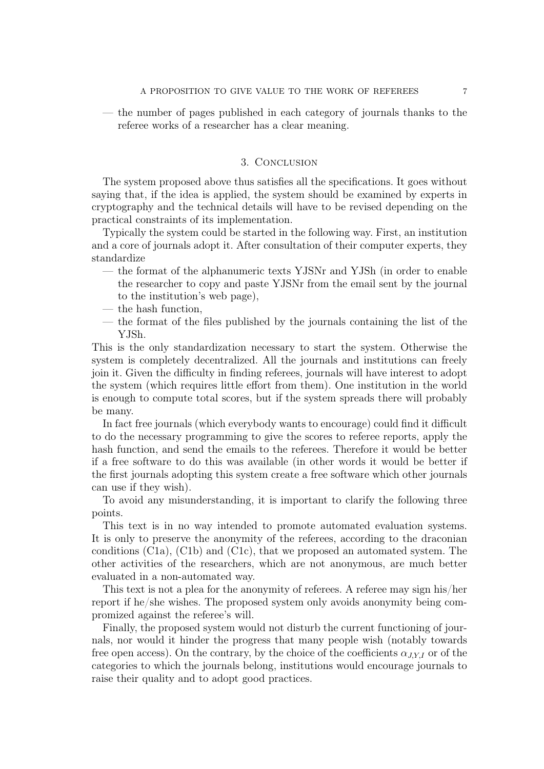— the number of pages published in each category of journals thanks to the referee works of a researcher has a clear meaning.

### 3. Conclusion

The system proposed above thus satisfies all the specifications. It goes without saying that, if the idea is applied, the system should be examined by experts in cryptography and the technical details will have to be revised depending on the practical constraints of its implementation.

Typically the system could be started in the following way. First, an institution and a core of journals adopt it. After consultation of their computer experts, they standardize

- the format of the alphanumeric texts YJSNr and YJSh (in order to enable the researcher to copy and paste YJSNr from the email sent by the journal to the institution's web page),
- the hash function,
- the format of the files published by the journals containing the list of the YJSh.

This is the only standardization necessary to start the system. Otherwise the system is completely decentralized. All the journals and institutions can freely join it. Given the difficulty in finding referees, journals will have interest to adopt the system (which requires little effort from them). One institution in the world is enough to compute total scores, but if the system spreads there will probably be many.

In fact free journals (which everybody wants to encourage) could find it difficult to do the necessary programming to give the scores to referee reports, apply the hash function, and send the emails to the referees. Therefore it would be better if a free software to do this was available (in other words it would be better if the first journals adopting this system create a free software which other journals can use if they wish).

To avoid any misunderstanding, it is important to clarify the following three points.

This text is in no way intended to promote automated evaluation systems. It is only to preserve the anonymity of the referees, according to the draconian conditions (C1a), (C1b) and (C1c), that we proposed an automated system. The other activities of the researchers, which are not anonymous, are much better evaluated in a non-automated way.

This text is not a plea for the anonymity of referees. A referee may sign his/her report if he/she wishes. The proposed system only avoids anonymity being compromized against the referee's will.

Finally, the proposed system would not disturb the current functioning of journals, nor would it hinder the progress that many people wish (notably towards free open access). On the contrary, by the choice of the coefficients  $\alpha_{J, Y, I}$  or of the categories to which the journals belong, institutions would encourage journals to raise their quality and to adopt good practices.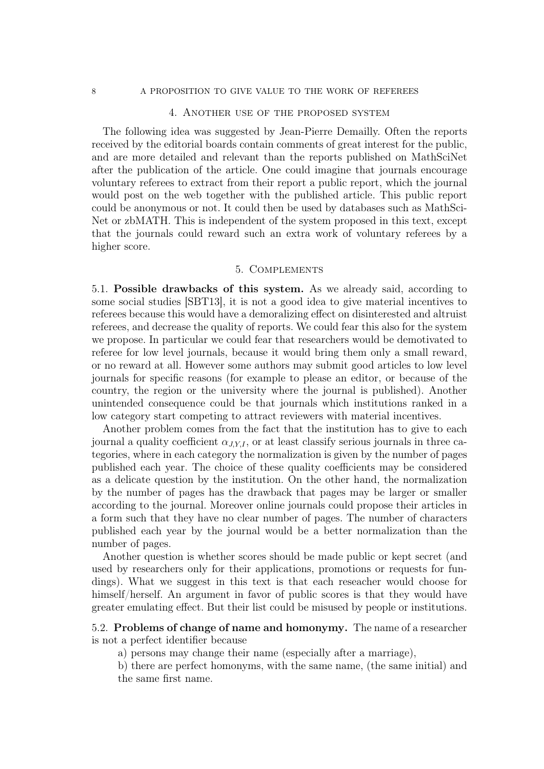#### 8 A PROPOSITION TO GIVE VALUE TO THE WORK OF REFEREES

#### 4. Another use of the proposed system

The following idea was suggested by Jean-Pierre Demailly. Often the reports received by the editorial boards contain comments of great interest for the public, and are more detailed and relevant than the reports published on MathSciNet after the publication of the article. One could imagine that journals encourage voluntary referees to extract from their report a public report, which the journal would post on the web together with the published article. This public report could be anonymous or not. It could then be used by databases such as MathSci-Net or zbMATH. This is independent of the system proposed in this text, except that the journals could reward such an extra work of voluntary referees by a higher score.

### 5. Complements

5.1. Possible drawbacks of this system. As we already said, according to some social studies [SBT13], it is not a good idea to give material incentives to referees because this would have a demoralizing effect on disinterested and altruist referees, and decrease the quality of reports. We could fear this also for the system we propose. In particular we could fear that researchers would be demotivated to referee for low level journals, because it would bring them only a small reward, or no reward at all. However some authors may submit good articles to low level journals for specific reasons (for example to please an editor, or because of the country, the region or the university where the journal is published). Another unintended consequence could be that journals which institutions ranked in a low category start competing to attract reviewers with material incentives.

Another problem comes from the fact that the institution has to give to each journal a quality coefficient  $\alpha_{JY,I}$ , or at least classify serious journals in three categories, where in each category the normalization is given by the number of pages published each year. The choice of these quality coefficients may be considered as a delicate question by the institution. On the other hand, the normalization by the number of pages has the drawback that pages may be larger or smaller according to the journal. Moreover online journals could propose their articles in a form such that they have no clear number of pages. The number of characters published each year by the journal would be a better normalization than the number of pages.

Another question is whether scores should be made public or kept secret (and used by researchers only for their applications, promotions or requests for fundings). What we suggest in this text is that each reseacher would choose for himself/herself. An argument in favor of public scores is that they would have greater emulating effect. But their list could be misused by people or institutions.

## 5.2. Problems of change of name and homonymy. The name of a researcher is not a perfect identifier because

a) persons may change their name (especially after a marriage),

b) there are perfect homonyms, with the same name, (the same initial) and the same first name.